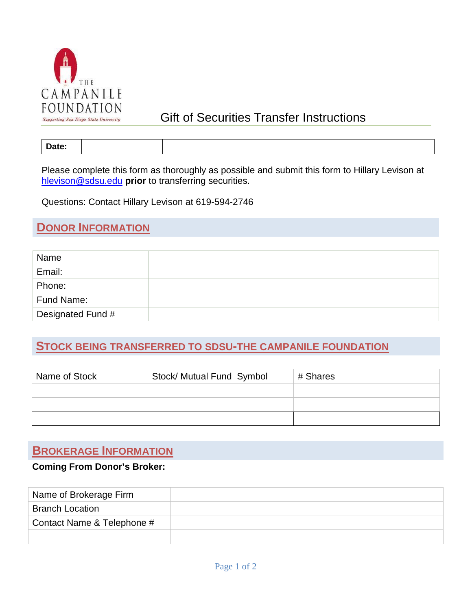

# Gift of Securities Transfer Instructions

| Date: |  |  |
|-------|--|--|
|       |  |  |
|       |  |  |

 [hlevison@sdsu.edu](mailto:hlevison@sdsu.edu) **prior** to transferring securities. Please complete this form as thoroughly as possible and submit this form to Hillary Levison at

Questions: Contact Hillary Levison at 619-594-2746

## **DONOR INFORMATION**

| Name              |  |
|-------------------|--|
| Email:            |  |
| Phone:            |  |
| Fund Name:        |  |
| Designated Fund # |  |

## **STOCK BEING TRANSFERRED TO SDSU-THE CAMPANILE FOUNDATION**

| Name of Stock | Stock/ Mutual Fund Symbol | # Shares |
|---------------|---------------------------|----------|
|               |                           |          |
|               |                           |          |
|               |                           |          |

### **BROKERAGE INFORMATION**

#### **Coming From Donor's Broker:**

| Name of Brokerage Firm     |  |
|----------------------------|--|
| <b>Branch Location</b>     |  |
| Contact Name & Telephone # |  |
|                            |  |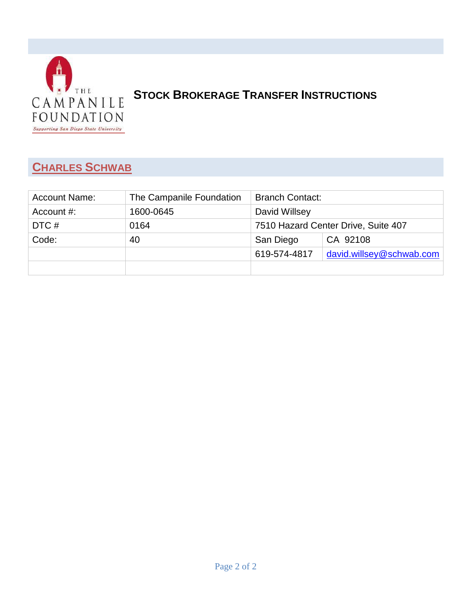

# **STOCK BROKERAGE TRANSFER INSTRUCTIONS**

# **CHARLES SCHWAB**

| <b>Account Name:</b> | The Campanile Foundation                    | <b>Branch Contact:</b> |                          |
|----------------------|---------------------------------------------|------------------------|--------------------------|
| Account #:           | 1600-0645                                   | David Willsey          |                          |
| DTC #                | 7510 Hazard Center Drive, Suite 407<br>0164 |                        |                          |
| Code:                | 40                                          | San Diego              | CA 92108                 |
|                      |                                             | 619-574-4817           | david.willsey@schwab.com |
|                      |                                             |                        |                          |